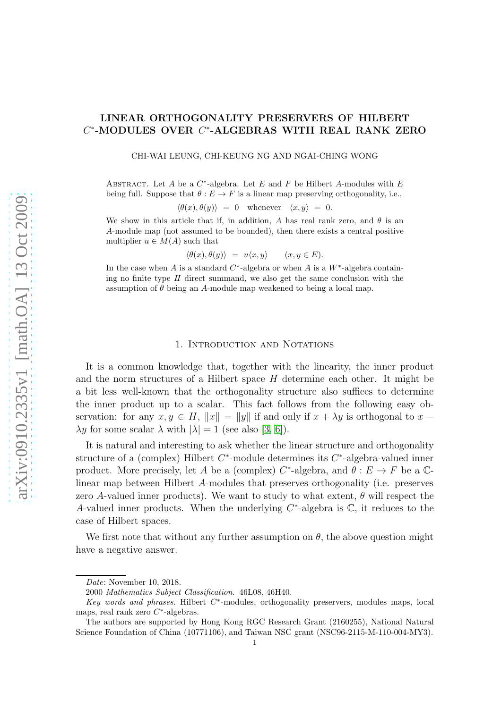# LINEAR ORTHOGONALITY PRESERVERS OF HILBERT  $C^*$ -MODULES OVER  $C^*$ -ALGEBRAS WITH REAL RANK ZERO

CHI-WAI LEUNG, CHI-KEUNG NG AND NGAI-CHING WONG

ABSTRACT. Let A be a  $C^*$ -algebra. Let E and F be Hilbert A-modules with E being full. Suppose that  $\theta : E \to F$  is a linear map preserving orthogonality, i.e.,

 $\langle \theta(x), \theta(y) \rangle = 0$  whenever  $\langle x, y \rangle = 0.$ 

We show in this article that if, in addition, A has real rank zero, and  $\theta$  is an A-module map (not assumed to be bounded), then there exists a central positive multiplier  $u \in M(A)$  such that

 $\langle \theta(x), \theta(y) \rangle = u \langle x, y \rangle$   $(x, y \in E).$ 

In the case when A is a standard  $C^*$ -algebra or when A is a  $W^*$ -algebra containing no finite type  $II$  direct summand, we also get the same conclusion with the assumption of  $\theta$  being an A-module map weakened to being a local map.

## 1. INTRODUCTION AND NOTATIONS

It is a common knowledge that, together with the linearity, the inner product and the norm structures of a Hilbert space  $H$  determine each other. It might be a bit less well-known that the orthogonality structure also suffices to determine the inner product up to a scalar. This fact follows from the following easy observation: for any  $x, y \in H$ ,  $||x|| = ||y||$  if and only if  $x + \lambda y$  is orthogonal to  $x \lambda y$  for some scalar  $\lambda$  with  $|\lambda| = 1$  (see also [\[3,](#page-8-0) [6\]](#page-8-1)).

It is natural and interesting to ask whether the linear structure and orthogonality structure of a (complex) Hilbert  $C^*$ -module determines its  $C^*$ -algebra-valued inner product. More precisely, let A be a (complex)  $C^*$ -algebra, and  $\theta : E \to F$  be a  $\mathbb{C}$ linear map between Hilbert A-modules that preserves orthogonality (i.e. preserves zero A-valued inner products). We want to study to what extent,  $\theta$  will respect the A-valued inner products. When the underlying  $C^*$ -algebra is  $\mathbb{C}$ , it reduces to the case of Hilbert spaces.

We first note that without any further assumption on  $\theta$ , the above question might have a negative answer.

Date: November 10, 2018.

<sup>2000</sup> Mathematics Subject Classification. 46L08, 46H40.

Key words and phrases. Hilbert  $C^*$ -modules, orthogonality preservers, modules maps, local maps, real rank zero  $C^*$ -algebras.

The authors are supported by Hong Kong RGC Research Grant (2160255), National Natural Science Foundation of China (10771106), and Taiwan NSC grant (NSC96-2115-M-110-004-MY3).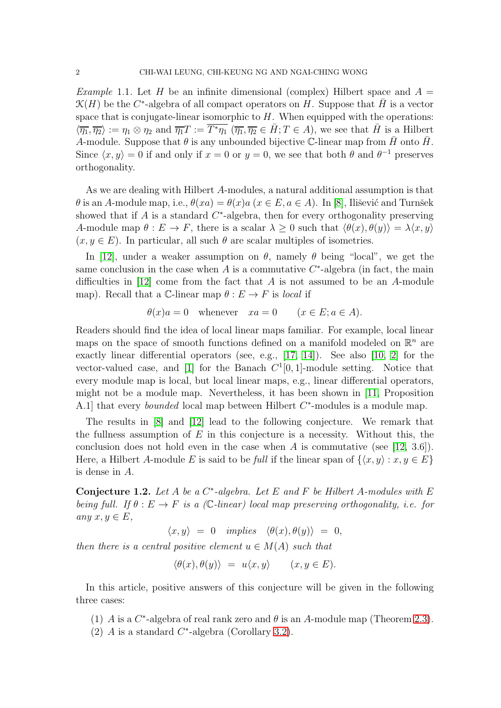*Example* 1.1. Let H be an infinite dimensional (complex) Hilbert space and  $A =$  $\mathfrak{K}(H)$  be the C<sup>\*</sup>-algebra of all compact operators on H. Suppose that  $\bar{H}$  is a vector space that is conjugate-linear isomorphic to  $H$ . When equipped with the operations:  $\langle \overline{\eta_1}, \overline{\eta_2} \rangle := \eta_1 \otimes \eta_2$  and  $\overline{\eta_1}T := \overline{T^*\eta_1}$   $(\overline{\eta_1}, \overline{\eta_2} \in \overline{H}; T \in A)$ , we see that  $\overline{H}$  is a Hilbert A-module. Suppose that  $\theta$  is any unbounded bijective C-linear map from  $\bar{H}$  onto  $\bar{H}$ . Since  $\langle x, y \rangle = 0$  if and only if  $x = 0$  or  $y = 0$ , we see that both  $\theta$  and  $\theta^{-1}$  preserves orthogonality.

As we are dealing with Hilbert A-modules, a natural additional assumption is that  $\theta$  is an A-module map, i.e.,  $\theta(xa) = \theta(x)a$  ( $x \in E$ ,  $a \in A$ ). In [\[8\]](#page-8-2), Ilišević and Turnšek showed that if  $A$  is a standard  $C^*$ -algebra, then for every orthogonality preserving A-module map  $\theta : E \to F$ , there is a scalar  $\lambda \geq 0$  such that  $\langle \theta(x), \theta(y) \rangle = \lambda \langle x, y \rangle$  $(x, y \in E)$ . In particular, all such  $\theta$  are scalar multiples of isometries.

In [\[12\]](#page-8-3), under a weaker assumption on  $\theta$ , namely  $\theta$  being "local", we get the same conclusion in the case when  $A$  is a commutative  $C^*$ -algebra (in fact, the main difficulties in [\[12\]](#page-8-3) come from the fact that A is not assumed to be an A-module map). Recall that a C-linear map  $\theta : E \to F$  is *local* if

$$
\theta(x)a = 0
$$
 whenever  $xa = 0$   $(x \in E; a \in A).$ 

Readers should find the idea of local linear maps familiar. For example, local linear maps on the space of smooth functions defined on a manifold modeled on  $\mathbb{R}^n$  are exactly linear differential operators (see, e.g., [\[17,](#page-8-4) [14\]](#page-8-5)). See also [\[10,](#page-8-6) [2\]](#page-8-7) for the vector-valued case, and [\[1\]](#page-8-8) for the Banach  $C^{1}[0,1]$ -module setting. Notice that every module map is local, but local linear maps, e.g., linear differential operators, might not be a module map. Nevertheless, it has been shown in [\[11,](#page-8-9) Proposition A.1] that every *bounded* local map between Hilbert  $C^*$ -modules is a module map.

The results in [\[8\]](#page-8-2) and [\[12\]](#page-8-3) lead to the following conjecture. We remark that the fullness assumption of  $E$  in this conjecture is a necessity. Without this, the conclusion does not hold even in the case when A is commutative (see  $[12, 3.6]$ ). Here, a Hilbert A-module E is said to be full if the linear span of  $\{\langle x, y \rangle : x, y \in E\}$ is dense in A.

<span id="page-1-0"></span>Conjecture 1.2. Let  $A$  be a  $C^*$ -algebra. Let  $E$  and  $F$  be Hilbert  $A$ -modules with  $E$ being full. If  $\theta : E \to F$  is a (C-linear) local map preserving orthogonality, i.e. for any  $x, y \in E$ ,

 $\langle x, y \rangle = 0$  implies  $\langle \theta(x), \theta(y) \rangle = 0$ ,

then there is a central positive element  $u \in M(A)$  such that

 $\langle \theta(x), \theta(y) \rangle = u \langle x, y \rangle \quad (x, y \in E).$ 

In this article, positive answers of this conjecture will be given in the following three cases:

- (1) A is a  $C^*$ -algebra of real rank zero and  $\theta$  is an A-module map (Theorem [2.3\)](#page-3-0).
- (2)  $A$  is a standard  $C^*$ -algebra (Corollary [3.2\)](#page-5-0).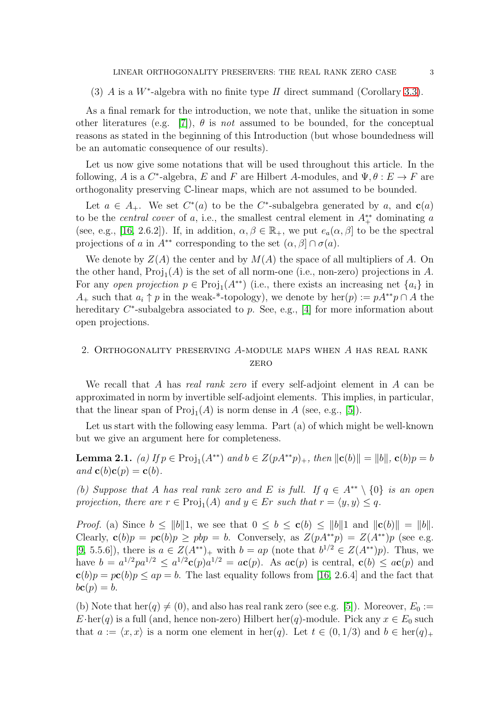(3) A is a  $W^*$ -algebra with no finite type  $II$  direct summand (Corollary [3.3\)](#page-6-0).

As a final remark for the introduction, we note that, unlike the situation in some other literatures (e.g. [\[7\]](#page-8-10)),  $\theta$  is not assumed to be bounded, for the conceptual reasons as stated in the beginning of this Introduction (but whose boundedness will be an automatic consequence of our results).

Let us now give some notations that will be used throughout this article. In the following, A is a  $C^*$ -algebra, E and F are Hilbert A-modules, and  $\Psi, \theta : E \to F$  are orthogonality preserving C-linear maps, which are not assumed to be bounded.

Let  $a \in A_+$ . We set  $C^*(a)$  to be the  $C^*$ -subalgebra generated by a, and  $c(a)$ to be the *central cover* of a, i.e., the smallest central element in  $A_{+}^{**}$  dominating a (see, e.g., [\[16,](#page-8-11) 2.6.2]). If, in addition,  $\alpha, \beta \in \mathbb{R}_+$ , we put  $e_a(\alpha, \beta]$  to be the spectral projections of a in  $A^{**}$  corresponding to the set  $(\alpha, \beta] \cap \sigma(a)$ .

We denote by  $Z(A)$  the center and by  $M(A)$  the space of all multipliers of A. On the other hand,  $Proj_1(A)$  is the set of all norm-one (i.e., non-zero) projections in A. For any open projection  $p \in Proj_1(A^{**})$  (i.e., there exists an increasing net  $\{a_i\}$  in A<sub>+</sub> such that  $a_i \uparrow p$  in the weak-\*-topology), we denote by her $(p) := pA^{**}p \cap A$  the hereditary  $C^*$ -subalgebra associated to p. See, e.g., [\[4\]](#page-8-12) for more information about open projections.

## 2. Orthogonality preserving A-module maps when A has real rank **ZERO**

We recall that A has real rank zero if every self-adjoint element in A can be approximated in norm by invertible self-adjoint elements. This implies, in particular, that the linear span of  $\text{Proj}_1(A)$  is norm dense in A (see, e.g., [\[5\]](#page-8-13)).

Let us start with the following easy lemma. Part (a) of which might be well-known but we give an argument here for completeness.

<span id="page-2-0"></span>**Lemma 2.1.** (a) If  $p \in \text{Proj}_1(A^{**})$  and  $b \in Z(pA^{**}p)_+$ , then  $\|\mathbf{c}(b)\| = \|b\|$ ,  $\mathbf{c}(b)p = b$ and  $\mathbf{c}(b)\mathbf{c}(p) = \mathbf{c}(b)$ .

(b) Suppose that A has real rank zero and E is full. If  $q \in A^{**} \setminus \{0\}$  is an open projection, there are  $r \in Proj_1(A)$  and  $y \in Er$  such that  $r = \langle y, y \rangle \leq q$ .

*Proof.* (a) Since  $b \le ||b||_1$ , we see that  $0 \le b \le c(b) \le ||b||_1$  and  $||c(b)|| = ||b||$ . Clearly,  $\mathbf{c}(b)p = p\mathbf{c}(b)p \geq pbp = b$ . Conversely, as  $Z(pA^{**}p) = Z(A^{**})p$  (see e.g. [\[9,](#page-8-14) 5.5.6]), there is  $a \in Z(A^{**})_+$  with  $b = ap$  (note that  $b^{1/2} \in Z(A^{**})p$ ). Thus, we have  $b = a^{1/2}pa^{1/2} \le a^{1/2}c(p)a^{1/2} = ac(p)$ . As  $ac(p)$  is central,  $c(b) \le ac(p)$  and  $c(b)p = pc(b)p \lt ap = b$ . The last equality follows from [\[16,](#page-8-11) 2.6.4] and the fact that  $bc(p) = b.$ 

(b) Note that her(q)  $\neq$  (0), and also has real rank zero (see e.g. [\[5\]](#page-8-13)). Moreover,  $E_0 :=$  $E \cdot \text{her}(q)$  is a full (and, hence non-zero) Hilbert her(q)-module. Pick any  $x \in E_0$  such that  $a := \langle x, x \rangle$  is a norm one element in her(q). Let  $t \in (0, 1/3)$  and  $b \in \text{her}(q)_+$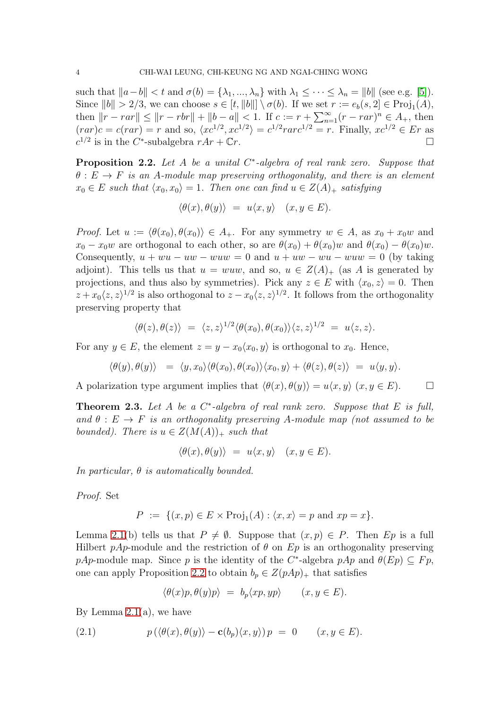such that  $||a-b|| < t$  and  $\sigma(b) = {\lambda_1, ..., \lambda_n}$  with  $\lambda_1 \leq ... \leq \lambda_n = ||b||$  (see e.g. [\[5\]](#page-8-13)). Since  $||b|| > 2/3$ , we can choose  $s \in [t, ||b||] \setminus \sigma(b)$ . If we set  $r := e_b(s, 2] \in \text{Proj}_1(A)$ , then  $||r - r a r|| \le ||r - r b r|| + ||b - a|| < 1$ . If  $c := r + \sum_{n=1}^{\infty} (r - r a r)^n \in A_+$ , then  $(rar)c = c(rar) = r$  and so,  $\langle xc^{1/2}, xc^{1/2} \rangle = c^{1/2}rarc^{1/2} = r$ . Finally,  $xc^{1/2} \in Er$  as  $c^{1/2}$  is in the C<sup>\*</sup>-subalgebra  $rAr + \mathbb{C}r$ .

<span id="page-3-1"></span>**Proposition 2.2.** Let A be a unital  $C^*$ -algebra of real rank zero. Suppose that  $\theta : E \to F$  is an A-module map preserving orthogonality, and there is an element  $x_0 \in E$  such that  $\langle x_0, x_0 \rangle = 1$ . Then one can find  $u \in Z(A)_+$  satisfying

$$
\langle \theta(x), \theta(y) \rangle = u \langle x, y \rangle \quad (x, y \in E).
$$

*Proof.* Let  $u := \langle \theta(x_0), \theta(x_0) \rangle \in A_+$ . For any symmetry  $w \in A$ , as  $x_0 + x_0w$  and  $x_0 - x_0w$  are orthogonal to each other, so are  $\theta(x_0) + \theta(x_0)w$  and  $\theta(x_0) - \theta(x_0)w$ . Consequently,  $u + wu - uw - wuw = 0$  and  $u + uw - wu - wuw = 0$  (by taking adjoint). This tells us that  $u = wuw$ , and so,  $u \in Z(A)_{+}$  (as A is generated by projections, and thus also by symmetries). Pick any  $z \in E$  with  $\langle x_0, z \rangle = 0$ . Then  $z + x_0 \langle z, z \rangle^{1/2}$  is also orthogonal to  $z - x_0 \langle z, z \rangle^{1/2}$ . It follows from the orthogonality preserving property that

$$
\langle \theta(z), \theta(z) \rangle = \langle z, z \rangle^{1/2} \langle \theta(x_0), \theta(x_0) \rangle \langle z, z \rangle^{1/2} = u \langle z, z \rangle.
$$

For any  $y \in E$ , the element  $z = y - x_0 \langle x_0, y \rangle$  is orthogonal to  $x_0$ . Hence,

$$
\langle \theta(y), \theta(y) \rangle = \langle y, x_0 \rangle \langle \theta(x_0), \theta(x_0) \rangle \langle x_0, y \rangle + \langle \theta(z), \theta(z) \rangle = u \langle y, y \rangle.
$$

A polarization type argument implies that  $\langle \theta(x), \theta(y) \rangle = u \langle x, y \rangle$   $(x, y \in E)$ .

<span id="page-3-0"></span>**Theorem 2.3.** Let A be a  $C^*$ -algebra of real rank zero. Suppose that E is full, and  $\theta : E \to F$  is an orthogonality preserving A-module map (not assumed to be bounded). There is  $u \in Z(M(A))_+$  such that

$$
\langle \theta(x), \theta(y) \rangle = u \langle x, y \rangle \quad (x, y \in E).
$$

In particular,  $\theta$  is automatically bounded.

Proof. Set

$$
P := \{(x, p) \in E \times \text{Proj}_1(A) : \langle x, x \rangle = p \text{ and } xp = x\}.
$$

Lemma [2.1\(](#page-2-0)b) tells us that  $P \neq \emptyset$ . Suppose that  $(x, p) \in P$ . Then Ep is a full Hilbert pAp-module and the restriction of  $\theta$  on  $Ep$  is an orthogonality preserving pAp-module map. Since p is the identity of the C<sup>\*</sup>-algebra pAp and  $\theta(Ep) \subseteq Fp$ , one can apply Proposition [2.2](#page-3-1) to obtain  $b_p \in Z(pAp)_+$  that satisfies

<span id="page-3-2"></span>
$$
\langle \theta(x)p, \theta(y)p \rangle = b_p \langle xp, yp \rangle \qquad (x, y \in E).
$$

By Lemma  $2.1(a)$ , we have

(2.1) 
$$
p(\langle \theta(x), \theta(y) \rangle - \mathbf{c}(b_p) \langle x, y \rangle) p = 0 \qquad (x, y \in E).
$$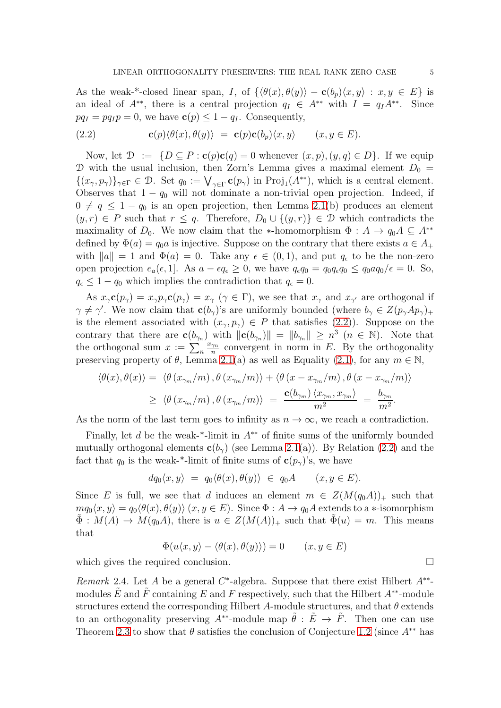As the weak-\*-closed linear span, I, of  $\{\langle \theta(x), \theta(y) \rangle - \mathbf{c}(b_p) \langle x, y \rangle : x, y \in E \}$  is an ideal of  $A^{**}$ , there is a central projection  $q_I \in A^{**}$  with  $I = q_I A^{**}$ . Since  $pq_I = pq_I p = 0$ , we have  $\mathbf{c}(p) \leq 1 - q_I$ . Consequently,

<span id="page-4-0"></span>(2.2) 
$$
\mathbf{c}(p)\langle \theta(x), \theta(y) \rangle = \mathbf{c}(p)\mathbf{c}(b_p)\langle x, y \rangle \qquad (x, y \in E).
$$

Now, let  $\mathcal{D} := \{D \subseteq P : \mathbf{c}(p)\mathbf{c}(q) = 0 \text{ whenever } (x, p), (y, q) \in D\}.$  If we equip D with the usual inclusion, then Zorn's Lemma gives a maximal element  $D_0 =$  $\{(x_{\gamma}, p_{\gamma})\}_{\gamma \in \Gamma} \in \mathcal{D}$ . Set  $q_0 := \bigvee_{\gamma \in \Gamma} \mathbf{c}(p_{\gamma})$  in  $\text{Proj}_1(A^{**})$ , which is a central element. Observes that  $1 - q_0$  will not dominate a non-trivial open projection. Indeed, if  $0 \neq q \leq 1 - q_0$  is an open projection, then Lemma [2.1\(](#page-2-0)b) produces an element  $(y, r) \in P$  such that  $r \leq q$ . Therefore,  $D_0 \cup \{(y, r)\}\in \mathcal{D}$  which contradicts the maximality of  $D_0$ . We now claim that the \*-homomorphism  $\Phi: A \to q_0 A \subseteq A^{**}$ defined by  $\Phi(a) = q_0 a$  is injective. Suppose on the contrary that there exists  $a \in A_+$ with  $||a|| = 1$  and  $\Phi(a) = 0$ . Take any  $\epsilon \in (0, 1)$ , and put  $q_{\epsilon}$  to be the non-zero open projection  $e_a(\epsilon, 1]$ . As  $a - \epsilon q_{\epsilon} \geq 0$ , we have  $q_{\epsilon}q_0 = q_0q_{\epsilon}q_0 \leq q_0aq_0/\epsilon = 0$ . So,  $q_{\epsilon} \leq 1 - q_0$  which implies the contradiction that  $q_{\epsilon} = 0$ .

As  $x_\gamma c(p_\gamma) = x_\gamma p_\gamma c(p_\gamma) = x_\gamma \ (\gamma \in \Gamma)$ , we see that  $x_\gamma$  and  $x_{\gamma'}$  are orthogonal if  $\gamma \neq \gamma'$ . We now claim that  $c(b_{\gamma})$ 's are uniformly bounded (where  $b_{\gamma} \in Z(p_{\gamma}Ap_{\gamma})_{+}$ is the element associated with  $(x_{\gamma}, p_{\gamma}) \in P$  that satisfies [\(2.2\)](#page-4-0)). Suppose on the contrary that there are  $\mathbf{c}(b_{\gamma_n})$  with  $\|\mathbf{c}(b_{\gamma_n})\| = \|b_{\gamma_n}\| \geq n^3$   $(n \in \mathbb{N})$ . Note that the orthogonal sum  $x := \sum_{n} \frac{x_{\gamma_n}}{n}$  $\frac{\gamma_n}{n}$  convergent in norm in E. By the orthogonality preserving property of  $\theta$ , Lemma [2.1\(](#page-2-0)a) as well as Equality [\(2.1\)](#page-3-2), for any  $m \in \mathbb{N}$ ,

$$
\langle \theta(x), \theta(x) \rangle = \langle \theta(x_{\gamma_m}/m), \theta(x_{\gamma_m}/m) \rangle + \langle \theta(x - x_{\gamma_m}/m), \theta(x - x_{\gamma_m}/m) \rangle
$$
  
 
$$
\geq \langle \theta(x_{\gamma_m}/m), \theta(x_{\gamma_m}/m) \rangle = \frac{\mathbf{c}(b_{\gamma_m}) \langle x_{\gamma_m}, x_{\gamma_m} \rangle}{m^2} = \frac{b_{\gamma_m}}{m^2}.
$$

As the norm of the last term goes to infinity as  $n \to \infty$ , we reach a contradiction.

Finally, let d be the weak-\*-limit in  $A^{**}$  of finite sums of the uniformly bounded mutually orthogonal elements  $c(b<sub>γ</sub>)$  (see Lemma [2.1\(](#page-2-0)a)). By Relation [\(2.2\)](#page-4-0) and the fact that  $q_0$  is the weak-\*-limit of finite sums of  $\mathbf{c}(p_\gamma)$ 's, we have

$$
dq_0\langle x,y\rangle = q_0\langle \theta(x),\theta(y)\rangle \in q_0A \quad (x,y \in E).
$$

Since E is full, we see that d induces an element  $m \in Z(M(q_0A))_+$  such that  $mq_0\langle x, y\rangle = q_0\langle \theta(x), \theta(y)\rangle$   $(x, y \in E)$ . Since  $\Phi: A \to q_0A$  extends to a  $\ast$ -isomorphism  $\tilde{\Phi}: M(A) \to M(q_0A)$ , there is  $u \in Z(M(A))_+$  such that  $\tilde{\Phi}(u) = m$ . This means that

$$
\Phi(u\langle x,y\rangle - \langle \theta(x),\theta(y)\rangle) = 0 \qquad (x,y \in E)
$$

which gives the required conclusion.

Remark 2.4. Let A be a general  $C^*$ -algebra. Suppose that there exist Hilbert  $A^{**}$ modules E and F containing E and F respectively, such that the Hilbert  $A^{**}$ -module structures extend the corresponding Hilbert A-module structures, and that  $\theta$  extends to an orthogonality preserving  $A^{**}$ -module map  $\hat{\theta}: E \to F$ . Then one can use Theorem [2.3](#page-3-0) to show that  $\theta$  satisfies the conclusion of Conjecture [1.2](#page-1-0) (since  $A^{**}$  has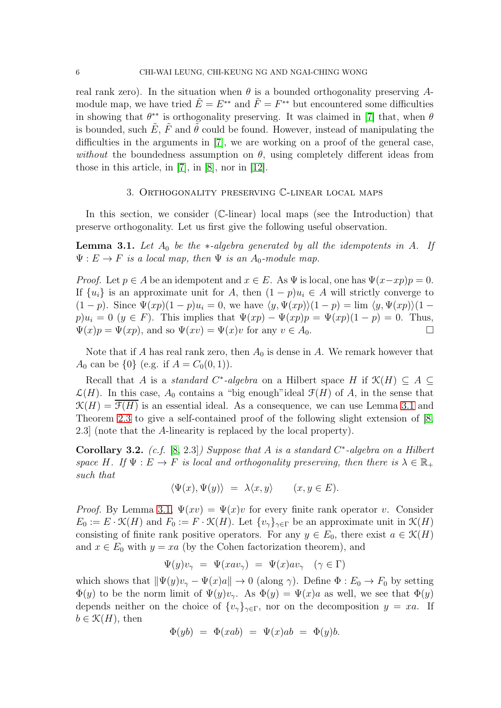real rank zero). In the situation when  $\theta$  is a bounded orthogonality preserving Amodule map, we have tried  $\tilde{E} = E^{**}$  and  $\tilde{F} = F^{**}$  but encountered some difficulties in showing that  $\theta^{**}$  is orthogonality preserving. It was claimed in [\[7\]](#page-8-10) that, when  $\theta$ is bounded, such  $\hat{E}$ ,  $\hat{F}$  and  $\hat{\theta}$  could be found. However, instead of manipulating the difficulties in the arguments in [\[7\]](#page-8-10), we are working on a proof of the general case, without the boundedness assumption on  $\theta$ , using completely different ideas from those in this article, in [\[7\]](#page-8-10), in [\[8\]](#page-8-2), nor in [\[12\]](#page-8-3).

### 3. Orthogonality preserving C-linear local maps

In this section, we consider (C-linear) local maps (see the Introduction) that preserve orthogonality. Let us first give the following useful observation.

<span id="page-5-1"></span>**Lemma 3.1.** Let  $A_0$  be the  $*$ -algebra generated by all the idempotents in A. If  $\Psi: E \to F$  is a local map, then  $\Psi$  is an  $A_0$ -module map.

*Proof.* Let  $p \in A$  be an idempotent and  $x \in E$ . As  $\Psi$  is local, one has  $\Psi(x-xp)p=0$ . If  $\{u_i\}$  is an approximate unit for A, then  $(1-p)u_i \in A$  will strictly converge to  $(1-p)$ . Since  $\Psi(xp)(1-p)u_i = 0$ , we have  $\langle y, \Psi(xp)\rangle(1-p) = \lim \langle y, \Psi(xp)\rangle(1-p)$  $p|u_i = 0$   $(y \in F)$ . This implies that  $\Psi(xp) - \Psi(xp)p = \Psi(xp)(1-p) = 0$ . Thus,  $\Psi(x)p = \Psi(xp)$ , and so  $\Psi(xv) = \Psi(x)v$  for any  $v \in A_0$ .

Note that if A has real rank zero, then  $A_0$  is dense in A. We remark however that  $A_0$  can be  $\{0\}$  (e.g. if  $A = C_0(0, 1)$ ).

Recall that A is a *standard C*<sup>\*</sup>-algebra on a Hilbert space H if  $\mathcal{K}(H) \subseteq A \subseteq$  $\mathcal{L}(H)$ . In this case,  $A_0$  contains a "big enough" ideal  $\mathcal{F}(H)$  of A, in the sense that  $\mathcal{K}(H) = \overline{\mathcal{F}}(H)$  is an essential ideal. As a consequence, we can use Lemma [3.1](#page-5-1) and Theorem [2.3](#page-3-0) to give a self-contained proof of the following slight extension of [\[8,](#page-8-2) 2.3] (note that the A-linearity is replaced by the local property).

<span id="page-5-0"></span>Corollary 3.2. (c.f. [\[8,](#page-8-2) 2.3]) Suppose that A is a standard  $C^*$ -algebra on a Hilbert space H. If  $\Psi : E \to F$  is local and orthogonality preserving, then there is  $\lambda \in \mathbb{R}_+$ such that

$$
\langle \Psi(x), \Psi(y) \rangle = \lambda \langle x, y \rangle \qquad (x, y \in E).
$$

*Proof.* By Lemma [3.1,](#page-5-1)  $\Psi(xv) = \Psi(x)v$  for every finite rank operator v. Consider  $E_0 := E \cdot \mathcal{K}(H)$  and  $F_0 := F \cdot \mathcal{K}(H)$ . Let  $\{v_\gamma\}_{\gamma \in \Gamma}$  be an approximate unit in  $\mathcal{K}(H)$ consisting of finite rank positive operators. For any  $y \in E_0$ , there exist  $a \in \mathcal{K}(H)$ and  $x \in E_0$  with  $y = xa$  (by the Cohen factorization theorem), and

$$
\Psi(y)v_{\gamma} = \Psi(xav_{\gamma}) = \Psi(x)av_{\gamma} \quad (\gamma \in \Gamma)
$$

which shows that  $\|\Psi(y)v_{\gamma} - \Psi(x)a\| \to 0$  (along  $\gamma$ ). Define  $\Phi : E_0 \to F_0$  by setting  $\Phi(y)$  to be the norm limit of  $\Psi(y)v_{\gamma}$ . As  $\Phi(y) = \Psi(x)a$  as well, we see that  $\Phi(y)$ depends neither on the choice of  $\{v_\gamma\}_{\gamma \in \Gamma}$ , nor on the decomposition  $y = xa$ . If  $b \in \mathcal{K}(H)$ , then

$$
\Phi(yb) = \Phi(xab) = \Psi(x)ab = \Phi(y)b.
$$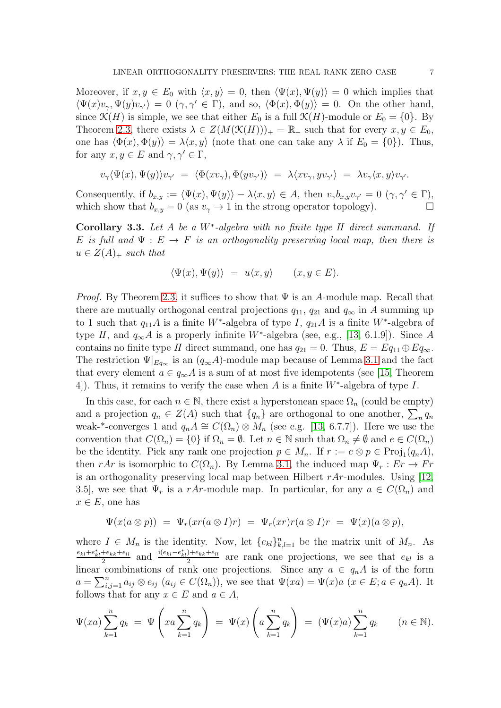Moreover, if  $x, y \in E_0$  with  $\langle x, y \rangle = 0$ , then  $\langle \Psi(x), \Psi(y) \rangle = 0$  which implies that  $\langle \Psi(x)v_{\gamma}, \Psi(y)v_{\gamma'} \rangle = 0 \; (\gamma, \gamma' \in \Gamma)$ , and so,  $\langle \Phi(x), \Phi(y) \rangle = 0$ . On the other hand, since  $\mathcal{K}(H)$  is simple, we see that either  $E_0$  is a full  $\mathcal{K}(H)$ -module or  $E_0 = \{0\}$ . By Theorem [2.3,](#page-3-0) there exists  $\lambda \in Z(M(\mathcal{K}(H)))_+ = \mathbb{R}_+$  such that for every  $x, y \in E_0$ , one has  $\langle \Phi(x), \Phi(y) \rangle = \lambda \langle x, y \rangle$  (note that one can take any  $\lambda$  if  $E_0 = \{0\}$ ). Thus, for any  $x, y \in E$  and  $\gamma, \gamma' \in \Gamma$ ,

$$
v_\gamma \langle \Psi(x), \Psi(y) \rangle v_{\gamma'} \ = \ \langle \Phi(xv_\gamma), \Phi(yv_{\gamma'}) \rangle \ = \ \lambda \langle xv_\gamma, yv_{\gamma'} \rangle \ = \ \lambda v_\gamma \langle x, y \rangle v_{\gamma'}.
$$

Consequently, if  $b_{x,y} := \langle \Psi(x), \Psi(y) \rangle - \lambda \langle x, y \rangle \in A$ , then  $v_{\gamma}b_{x,y}v_{\gamma'} = 0 \ (\gamma, \gamma' \in \Gamma)$ , which show that  $b_{x,y} = 0$  (as  $v_\gamma \to 1$  in the strong operator topology).

<span id="page-6-0"></span>Corollary 3.3. Let  $A$  be a  $W^*$ -algebra with no finite type II direct summand. If E is full and  $\Psi : E \to F$  is an orthogonality preserving local map, then there is  $u \in Z(A)_+$  such that

$$
\langle \Psi(x), \Psi(y) \rangle = u \langle x, y \rangle \qquad (x, y \in E).
$$

*Proof.* By Theorem [2.3,](#page-3-0) it suffices to show that  $\Psi$  is an A-module map. Recall that there are mutually orthogonal central projections  $q_{11}$ ,  $q_{21}$  and  $q_{\infty}$  in A summing up to 1 such that  $q_{11}A$  is a finite W<sup>\*</sup>-algebra of type I,  $q_{21}A$  is a finite W<sup>\*</sup>-algebra of type II, and  $q_{\infty}A$  is a properly infinite W<sup>\*</sup>-algebra (see, e.g., [\[13,](#page-8-15) 6.1.9]). Since A contains no finite type II direct summand, one has  $q_{21} = 0$ . Thus,  $E = Eq_{11} \oplus Eq_{\infty}$ . The restriction  $\Psi|_{Eq_{\infty}}$  is an  $(q_{\infty}A)$ -module map because of Lemma [3.1](#page-5-1) and the fact that every element  $a \in q_{\infty}A$  is a sum of at most five idempotents (see [\[15,](#page-8-16) Theorem 4]). Thus, it remains to verify the case when A is a finite  $W^*$ -algebra of type I.

In this case, for each  $n \in \mathbb{N}$ , there exist a hyperstonean space  $\Omega_n$  (could be empty) and a projection  $q_n \in Z(A)$  such that  $\{q_n\}$  are orthogonal to one another,  $\sum_n q_n$ weak-\*-converges 1 and  $q_nA \cong C(\Omega_n) \otimes M_n$  (see e.g. [\[13,](#page-8-15) 6.7.7]). Here we use the convention that  $C(\Omega_n) = \{0\}$  if  $\Omega_n = \emptyset$ . Let  $n \in \mathbb{N}$  such that  $\Omega_n \neq \emptyset$  and  $e \in C(\Omega_n)$ be the identity. Pick any rank one projection  $p \in M_n$ . If  $r := e \otimes p \in \text{Proj}_1(q_nA)$ , then rAr is isomorphic to  $C(\Omega_n)$ . By Lemma [3.1,](#page-5-1) the induced map  $\Psi_r : Er \to Fr$ is an orthogonality preserving local map between Hilbert  $rAr$ -modules. Using [\[12,](#page-8-3) 3.5], we see that  $\Psi_r$  is a rAr-module map. In particular, for any  $a \in C(\Omega_n)$  and  $x \in E$ , one has

$$
\Psi(x(a\otimes p)) = \Psi_r(xr(a\otimes I)r) = \Psi_r(xr)r(a\otimes I)r = \Psi(x)(a\otimes p),
$$

where  $I \in M_n$  is the identity. Now, let  $\{e_{kl}\}_{k,l=1}^n$  be the matrix unit of  $M_n$ . As  $e_{kl}+e_{kl}^*+e_{kk}+e_{ll}$  $\frac{+e_{kk}+e_{ll}}{2}$  and  $\frac{i(e_{kl}-e_{kl}^*)+e_{kk}+e_{ll}}{2}$  $\frac{e^{i\theta} + e^{i\theta}}{2}$  are rank one projections, we see that  $e_{kl}$  is a linear combinations of rank one projections. Since any  $a \in q_nA$  is of the form  $a = \sum_{i,j=1}^n a_{ij} \otimes e_{ij}$   $(a_{ij} \in C(\Omega_n))$ , we see that  $\Psi(xa) = \Psi(x)a$   $(x \in E; a \in q_nA)$ . It follows that for any  $x \in E$  and  $a \in A$ ,

$$
\Psi(xa) \sum_{k=1}^{n} q_k = \Psi\left(xa \sum_{k=1}^{n} q_k\right) = \Psi(x) \left(a \sum_{k=1}^{n} q_k\right) = (\Psi(x)a) \sum_{k=1}^{n} q_k \qquad (n \in \mathbb{N}).
$$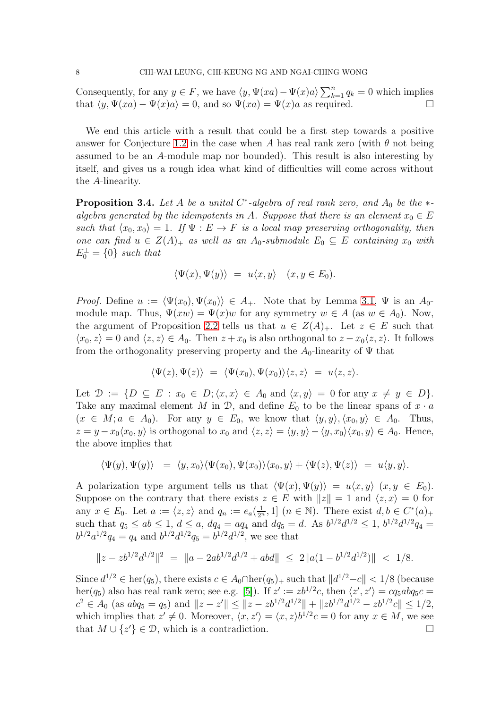Consequently, for any  $y \in F$ , we have  $\langle y, \Psi(xa) - \Psi(x)a \rangle \sum_{k=1}^{n} q_k = 0$  which implies that  $\langle y, \Psi(xa) - \Psi(x)a \rangle = 0$ , and so  $\Psi(xa) = \Psi(x)a$  as required.

We end this article with a result that could be a first step towards a positive answer for Conjecture [1.2](#page-1-0) in the case when A has real rank zero (with  $\theta$  not being assumed to be an A-module map nor bounded). This result is also interesting by itself, and gives us a rough idea what kind of difficulties will come across without the A-linearity.

**Proposition 3.4.** Let A be a unital  $C^*$ -algebra of real rank zero, and  $A_0$  be the  $*$ algebra generated by the idempotents in A. Suppose that there is an element  $x_0 \in E$ such that  $\langle x_0, x_0 \rangle = 1$ . If  $\Psi : E \to F$  is a local map preserving orthogonality, then one can find  $u \in Z(A)_+$  as well as an  $A_0$ -submodule  $E_0 \subseteq E$  containing  $x_0$  with  $E_0^{\perp} = \{0\}$  such that

$$
\langle \Psi(x), \Psi(y) \rangle = u \langle x, y \rangle \quad (x, y \in E_0).
$$

*Proof.* Define  $u := \langle \Psi(x_0), \Psi(x_0) \rangle \in A_+$ . Note that by Lemma [3.1,](#page-5-1)  $\Psi$  is an  $A_0$ module map. Thus,  $\Psi(xw) = \Psi(x)w$  for any symmetry  $w \in A$  (as  $w \in A_0$ ). Now, the argument of Proposition [2.2](#page-3-1) tells us that  $u \in Z(A)_+$ . Let  $z \in E$  such that  $\langle x_0, z \rangle = 0$  and  $\langle z, z \rangle \in A_0$ . Then  $z + x_0$  is also orthogonal to  $z - x_0 \langle z, z \rangle$ . It follows from the orthogonality preserving property and the  $A_0$ -linearity of  $\Psi$  that

$$
\langle \Psi(z), \Psi(z) \rangle = \langle \Psi(x_0), \Psi(x_0) \rangle \langle z, z \rangle = u \langle z, z \rangle.
$$

Let  $\mathcal{D} := \{D \subseteq E : x_0 \in D; \langle x, x \rangle \in A_0 \text{ and } \langle x, y \rangle = 0 \text{ for any } x \neq y \in D\}.$ Take any maximal element M in D, and define  $E_0$  to be the linear spans of  $x \cdot a$  $(x \in M; a \in A_0)$ . For any  $y \in E_0$ , we know that  $\langle y, y \rangle, \langle x_0, y \rangle \in A_0$ . Thus,  $z = y - x_0\langle x_0, y \rangle$  is orthogonal to  $x_0$  and  $\langle z, z \rangle = \langle y, y \rangle - \langle y, x_0 \rangle \langle x_0, y \rangle \in A_0$ . Hence, the above implies that

$$
\langle \Psi(y), \Psi(y) \rangle = \langle y, x_0 \rangle \langle \Psi(x_0), \Psi(x_0) \rangle \langle x_0, y \rangle + \langle \Psi(z), \Psi(z) \rangle = u \langle y, y \rangle.
$$

A polarization type argument tells us that  $\langle \Psi(x), \Psi(y) \rangle = u \langle x, y \rangle \; (x, y \in E_0).$ Suppose on the contrary that there exists  $z \in E$  with  $||z|| = 1$  and  $\langle z, x \rangle = 0$  for any  $x \in E_0$ . Let  $a := \langle z, z \rangle$  and  $q_n := e_a(\frac{1}{2^n}, 1]$   $(n \in \mathbb{N})$ . There exist  $d, b \in C^*(a)_+$ such that  $q_5 \le ab \le 1$ ,  $d \le a$ ,  $dq_4 = aq_4$  and  $dq_5 = d$ . As  $b^{1/2}d^{1/2} \le 1$ ,  $b^{1/2}d^{1/2}q_4 =$  $b^{1/2}a^{1/2}q_4 = q_4$  and  $b^{1/2}d^{1/2}q_5 = b^{1/2}d^{1/2}$ , we see that

$$
||z - zb^{1/2}d^{1/2}||^2 = ||a - 2ab^{1/2}d^{1/2} + abd|| \le 2||a(1 - b^{1/2}d^{1/2})|| < 1/8.
$$

Since  $d^{1/2} \in \text{her}(q_5)$ , there exists  $c \in A_0 \cap \text{her}(q_5)_+$  such that  $||d^{1/2}-c|| < 1/8$  (because her(q<sub>5</sub>) also has real rank zero; see e.g. [\[5\]](#page-8-13)). If  $z' := zb^{1/2}c$ , then  $\langle z', z' \rangle = cq_5abq_5c =$  $c^2 \in A_0$  (as  $abq_5 = q_5$ ) and  $||z - z'|| \le ||z - zb^{1/2}d^{1/2}|| + ||zb^{1/2}d^{1/2} - zb^{1/2}c|| \le 1/2$ , which implies that  $z' \neq 0$ . Moreover,  $\langle x, z' \rangle = \langle x, z \rangle b^{1/2} c = 0$  for any  $x \in M$ , we see that  $M \cup \{z'\} \in \mathcal{D}$ , which is a contradiction.